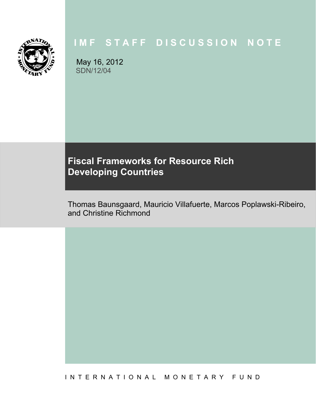

# **IMF STAFF DISCUSSION NOTE**

May 16, 2012 SDN/12/04

# **Fiscal Frameworks for Resource Rich Developing Countries**

Thomas Baunsgaard, Mauricio Villafuerte, Marcos Poplawski-Ribeiro, and Christine Richmond

I N T E R N A T I O N A L M O N E T A R Y F U N D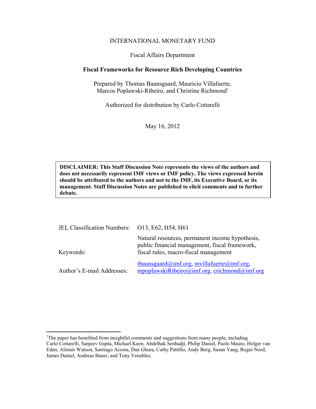#### INTERNATIONAL MONETARY FUND

#### Fiscal Affairs Department

#### **Fiscal Frameworks for Resource Rich Developing Countries**

Prepared by Thomas Baunsgaard, Mauricio Villafuerte, Marcos Poplawski-Ribeiro, and Christine Richmond<sup>1</sup>

Authorized for distribution by Carlo Cottarelli

May 16, 2012

**DISCLAIMER: This Staff Discussion Note represents the views of the authors and does not necessarily represent IMF views or IMF policy. The views expressed herein should be attributed to the authors and not to the IMF, its Executive Board, or its management. Staff Discussion Notes are published to elicit comments and to further debate.** 

| JEL Classification Numbers: 013, E62, H54, H61 |                                                                                                                                            |
|------------------------------------------------|--------------------------------------------------------------------------------------------------------------------------------------------|
| Keywords:                                      | Natural resources, permanent income hypothesis,<br>public financial management, fiscal framework,<br>fiscal rules, macro-fiscal management |
| Author's E-mail Addresses:                     | $t$ baunsgaard@imf.org, mvillafuerte@imf.org,<br>mpoplawskiRibeiro@imf.org, crichmond@imf.org                                              |

1

<sup>&</sup>lt;sup>1</sup>The paper has benefited from insightful comments and suggestions from many people, including Carlo Cottarelli, Sanjeev Gupta, Michael Keen, Abdelhak Senhadji, Philip Daniel, Paolo Mauro, Holger van Eden, Alistair Watson, Santiago Acosta, Dan Ghura, Cathy Pattillo, Andy Berg, Susan Yang, Roger Nord, James Daniel, Andreas Bauer, and Tony Venables.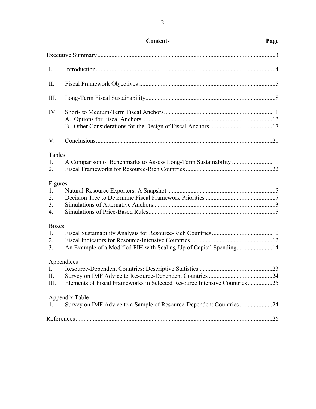| $\mathbf{I}$ .                              |                                                                                        |  |
|---------------------------------------------|----------------------------------------------------------------------------------------|--|
| II.                                         |                                                                                        |  |
| III.                                        |                                                                                        |  |
| IV.                                         |                                                                                        |  |
| V.                                          |                                                                                        |  |
| Tables<br>$1_{\cdot}$<br>2.                 | A Comparison of Benchmarks to Assess Long-Term Sustainability 11                       |  |
| Figures<br>1.<br>2.<br>3 <sub>1</sub><br>4. |                                                                                        |  |
| Boxes<br>1.<br>2.<br>3 <sub>1</sub>         | An Example of a Modified PIH with Scaling-Up of Capital Spending14                     |  |
| $\rm{L}$<br>II.<br>III.                     | Appendices<br>Elements of Fiscal Frameworks in Selected Resource Intensive Countries25 |  |
| 1.                                          | Appendix Table<br>Survey on IMF Advice to a Sample of Resource-Dependent Countries 24  |  |
|                                             |                                                                                        |  |

## **Contents Page**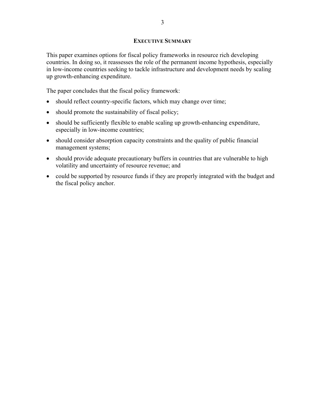#### **EXECUTIVE SUMMARY**

This paper examines options for fiscal policy frameworks in resource rich developing countries. In doing so, it reassesses the role of the permanent income hypothesis, especially in low-income countries seeking to tackle infrastructure and development needs by scaling up growth-enhancing expenditure.

The paper concludes that the fiscal policy framework:

- should reflect country-specific factors, which may change over time;
- should promote the sustainability of fiscal policy;
- should be sufficiently flexible to enable scaling up growth-enhancing expenditure, especially in low-income countries;
- should consider absorption capacity constraints and the quality of public financial management systems;
- should provide adequate precautionary buffers in countries that are vulnerable to high volatility and uncertainty of resource revenue; and
- could be supported by resource funds if they are properly integrated with the budget and the fiscal policy anchor.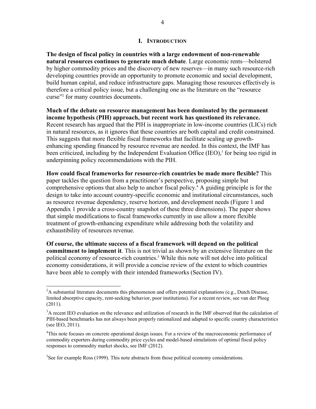#### **I. INTRODUCTION**

**The design of fiscal policy in countries with a large endowment of non-renewable natural resources continues to generate much debate**. Large economic rents—bolstered by higher commodity prices and the discovery of new reserves—in many such resource-rich developing countries provide an opportunity to promote economic and social development, build human capital, and reduce infrastructure gaps. Managing those resources effectively is therefore a critical policy issue, but a challenging one as the literature on the "resource curse"<sup>2</sup> for many countries documents.

**Much of the debate on resource management has been dominated by the permanent income hypothesis (PIH) approach, but recent work has questioned its relevance.** Recent research has argued that the PIH is inappropriate in low-income countries (LICs) rich in natural resources, as it ignores that these countries are both capital and credit constrained. This suggests that more flexible fiscal frameworks that facilitate scaling up growthenhancing spending financed by resource revenue are needed. In this context, the IMF has been criticized, including by the Independent Evaluation Office (IEO),<sup>3</sup> for being too rigid in underpinning policy recommendations with the PIH.

**How could fiscal frameworks for resource-rich countries be made more flexible?** This paper tackles the question from a practitioner's perspective, proposing simple but comprehensive options that also help to anchor fiscal policy.<sup>4</sup> A guiding principle is for the design to take into account country-specific economic and institutional circumstances, such as resource revenue dependency, reserve horizon, and development needs (Figure 1 and Appendix 1 provide a cross-country snapshot of these three dimensions). The paper shows that simple modifications to fiscal frameworks currently in use allow a more flexible treatment of growth-enhancing expenditure while addressing both the volatility and exhaustibility of resources revenue.

**Of course, the ultimate success of a fiscal framework will depend on the political commitment to implement it**. This is not trivial as shown by an extensive literature on the political economy of resource-rich countries.<sup>5</sup> While this note will not delve into political economy considerations, it will provide a concise review of the extent to which countries have been able to comply with their intended frameworks (Section IV).

 $5$ See for example Ross (1999). This note abstracts from those political economy considerations.

 $\overline{a}$ 

 $2A$  substantial literature documents this phenomenon and offers potential explanations (e.g., Dutch Disease, limited absorptive capacity, rent-seeking behavior, poor institutions). For a recent review, see van der Ploeg (2011).

<sup>&</sup>lt;sup>3</sup>A recent IEO evaluation on the relevance and utilization of research in the IMF observed that the calculation of PIH-based benchmarks has not always been properly rationalized and adapted to specific country characteristics (see IEO, 2011).

<sup>&</sup>lt;sup>4</sup>This note focuses on concrete operational design issues. For a review of the macroeconomic performance of commodity exporters during commodity price cycles and model-based simulations of optimal fiscal policy responses to commodity market shocks, see IMF (2012).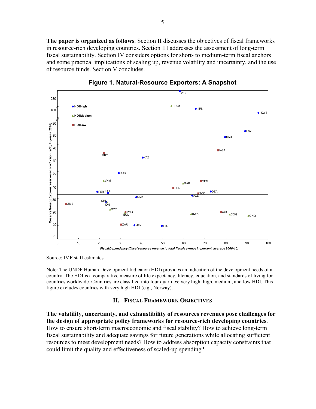**The paper is organized as follows**. Section II discusses the objectives of fiscal frameworks in resource-rich developing countries. Section III addresses the assessment of long-term fiscal sustainability. Section IV considers options for short- to medium-term fiscal anchors and some practical implications of scaling up, revenue volatility and uncertainty, and the use of resource funds. Section V concludes.



**Figure 1. Natural-Resource Exporters: A Snapshot** 

Source: IMF staff estimates

Note: The UNDP Human Development Indicator (HDI) provides an indication of the development needs of a country. The HDI is a comparative measure of life expectancy, literacy, education, and standards of living for countries worldwide. Countries are classified into four quartiles: very high, high, medium, and low HDI. This figure excludes countries with very high HDI (e.g., Norway).

#### **II. FISCAL FRAMEWORK OBJECTIVES**

**The volatility, uncertainty, and exhaustibility of resources revenues pose challenges for the design of appropriate policy frameworks for resource-rich developing countries**. How to ensure short-term macroeconomic and fiscal stability? How to achieve long-term fiscal sustainability and adequate savings for future generations while allocating sufficient resources to meet development needs? How to address absorption capacity constraints that could limit the quality and effectiveness of scaled-up spending?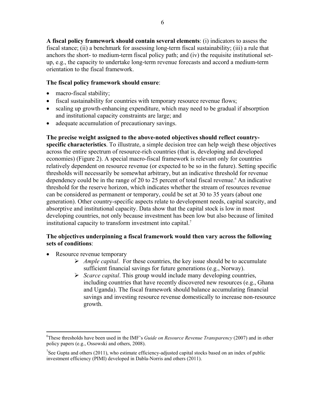**A fiscal policy framework should contain several elements**: (i) indicators to assess the fiscal stance; (ii) a benchmark for assessing long-term fiscal sustainability; (iii) a rule that anchors the short- to medium-term fiscal policy path; and (iv) the requisite institutional setup, e.g., the capacity to undertake long-term revenue forecasts and accord a medium-term orientation to the fiscal framework.

## **The fiscal policy framework should ensure**:

- macro-fiscal stability;
- fiscal sustainability for countries with temporary resource revenue flows;
- scaling up growth-enhancing expenditure, which may need to be gradual if absorption and institutional capacity constraints are large; and
- adequate accumulation of precautionary savings.

**The precise weight assigned to the above-noted objectives should reflect countryspecific characteristics**. To illustrate, a simple decision tree can help weigh these objectives across the entire spectrum of resource-rich countries (that is, developing and developed economies) (Figure 2). A special macro-fiscal framework is relevant only for countries relatively dependent on resource revenue (or expected to be so in the future). Setting specific thresholds will necessarily be somewhat arbitrary, but an indicative threshold for revenue dependency could be in the range of 20 to 25 percent of total fiscal revenue.<sup>6</sup> An indicative threshold for the reserve horizon, which indicates whether the stream of resources revenue can be considered as permanent or temporary, could be set at 30 to 35 years (about one generation). Other country-specific aspects relate to development needs, capital scarcity, and absorptive and institutional capacity. Data show that the capital stock is low in most developing countries, not only because investment has been low but also because of limited institutional capacity to transform investment into capital.<sup>7</sup>

## **The objectives underpinning a fiscal framework would then vary across the following sets of conditions**:

- Resource revenue temporary
	- *Ample capital*. For these countries, the key issue should be to accumulate sufficient financial savings for future generations (e.g., Norway).
	- *Scarce capital*. This group would include many developing countries, including countries that have recently discovered new resources (e.g., Ghana and Uganda). The fiscal framework should balance accumulating financial savings and investing resource revenue domestically to increase non-resource growth.

 $\overline{a}$ 6 These thresholds have been used in the IMF's *Guide on Resource Revenue Transparency* (2007) and in other policy papers (e.g., Ossowski and others, 2008).

<sup>&</sup>lt;sup>7</sup>See Gupta and others (2011), who estimate efficiency-adjusted capital stocks based on an index of public investment efficiency (PIMI) developed in Dabla-Norris and others (2011).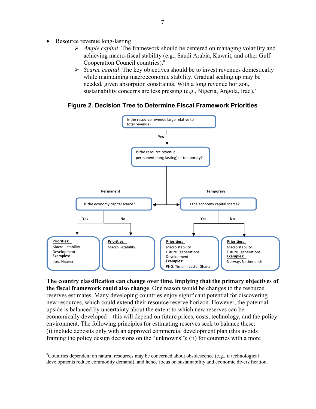Resource revenue long-lasting

1

- *Ample capital*. The framework should be centered on managing volatility and achieving macro-fiscal stability (e.g., Saudi Arabia, Kuwait, and other Gulf Cooperation Council countries).8
- *Scarce capital*. The key objectives should be to invest revenues domestically while maintaining macroeconomic stability. Gradual scaling up may be needed, given absorption constraints. With a long revenue horizon, sustainability concerns are less pressing (e.g., Nigeria, Angola, Iraq).`

## **Figure 2. Decision Tree to Determine Fiscal Framework Priorities**



**The country classification can change over time, implying that the primary objectives of the fiscal framework could also change**. One reason would be changes to the resource reserves estimates. Many developing countries enjoy significant potential for discovering new resources, which could extend their resource reserve horizon. However, the potential upside is balanced by uncertainty about the extent to which new reserves can be economically developed—this will depend on future prices, costs, technology, and the policy environment. The following principles for estimating reserves seek to balance these: (i) include deposits only with an approved commercial development plan (this avoids framing the policy design decisions on the "unknowns"); (ii) for countries with a more

<sup>&</sup>lt;sup>8</sup>Countries dependent on natural resources may be concerned about obsolescence (e.g., if technological developments reduce commodity demand), and hence focus on sustainability and economic diversification.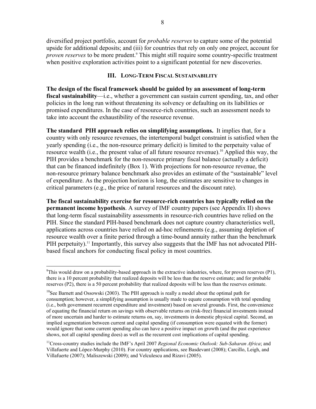diversified project portfolio, account for *probable reserves* to capture some of the potential upside for additional deposits; and (iii) for countries that rely on only one project, account for proven reserves to be more prudent.<sup>9</sup> This might still require some country-specific treatment when positive exploration activities point to a significant potential for new discoveries.

#### **III. LONG-TERM FISCAL SUSTAINABILITY**

**The design of the fiscal framework should be guided by an assessment of long-term fiscal sustainability**—i.e., whether a government can sustain current spending, tax, and other policies in the long run without threatening its solvency or defaulting on its liabilities or promised expenditures. In the case of resource-rich countries, such an assessment needs to take into account the exhaustibility of the resource revenue.

**The standard PIH approach relies on simplifying assumptions.** It implies that, for a country with only resource revenues, the intertemporal budget constraint is satisfied when the yearly spending (i.e., the non-resource primary deficit) is limited to the perpetuity value of resource wealth (i.e., the present value of all future resource revenue).10 Applied this way, the PIH provides a benchmark for the non-resource primary fiscal balance (actually a deficit) that can be financed indefinitely (Box 1). With projections for non-resource revenue, the non-resource primary balance benchmark also provides an estimate of the "sustainable" level of expenditure. As the projection horizon is long, the estimates are sensitive to changes in critical parameters (e.g., the price of natural resources and the discount rate).

**The fiscal sustainability exercise for resource-rich countries has typically relied on the permanent income hypothesis**. A survey of IMF country papers (see Appendix II) shows that long-term fiscal sustainability assessments in resource-rich countries have relied on the PIH. Since the standard PIH-based benchmark does not capture country characteristics well, applications across countries have relied on ad-hoc refinements (e.g., assuming depletion of resource wealth over a finite period through a time-bound annuity rather than the benchmark PIH perpetuity).<sup>11</sup> Importantly, this survey also suggests that the IMF has not advocated PIHbased fiscal anchors for conducting fiscal policy in most countries.

 $\overline{a}$ 

<sup>&</sup>lt;sup>9</sup>This would draw on a probability-based approach in the extractive industries, where, for proven reserves (P1), there is a 10 percent probability that realized deposits will be less than the reserve estimate; and for probable reserves (P2), there is a 50 percent probability that realized deposits will be less than the reserves estimate.

<sup>&</sup>lt;sup>10</sup>See Barnett and Ossowski (2003). The PIH approach is really a model about the optimal path for consumption; however, a simplifying assumption is usually made to equate consumption with total spending (i.e., both government recurrent expenditure and investment) based on several grounds. First, the convenience of equating the financial return on savings with observable returns on (risk-free) financial investments instead of more uncertain and harder to estimate returns on, say, investments in domestic physical capital. Second, an implied segmentation between current and capital spending (if consumption were equated with the former) would ignore that some current spending also can have a positive impact on growth (and the past experience shows, not all capital spending does) as well as the recurrent cost implications of capital spending.

<sup>11</sup>Cross-country studies include the IMF's April 2007 *Regional Economic Outlook: Sub-Saharan Africa*; and Villafuerte and López-Murphy (2010). For country applications, see Basdevant (2008); Carcillo, Leigh, and Villafuerte (2007); Maliszewski (2009); and Velculescu and Rizavi (2005).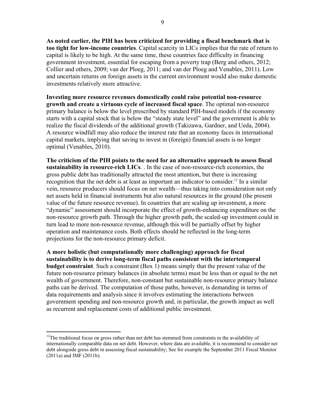**As noted earlier, the PIH has been criticized for providing a fiscal benchmark that is too tight for low-income countries**. Capital scarcity in LICs implies that the rate of return to capital is likely to be high. At the same time, these countries face difficulty in financing government investment, essential for escaping from a poverty trap (Berg and others, 2012; Collier and others, 2009; van der Ploeg, 2011; and van der Ploeg and Venables, 2011). Low and uncertain returns on foreign assets in the current environment would also make domestic investments relatively more attractive.

**Investing more resource revenues domestically could raise potential non-resource growth and create a virtuous cycle of increased fiscal space**. The optimal non-resource primary balance is below the level prescribed by standard PIH-based models if the economy starts with a capital stock that is below the "steady state level" and the government is able to realize the fiscal dividends of the additional growth (Takizawa, Gardner, and Ueda, 2004). A resource windfall may also reduce the interest rate that an economy faces in international capital markets, implying that saving to invest in (foreign) financial assets is no longer optimal (Venables, 2010).

**The criticism of the PIH points to the need for an alternative approach to assess fiscal sustainability in resource-rich LICs**. . In the case of non-resource-rich economies, the gross public debt has traditionally attracted the most attention, but there is increasing recognition that the net debt is at least as important an indicator to consider.<sup>12</sup> In a similar vein, resource producers should focus on net wealth—thus taking into consideration not only net assets held in financial instruments but also natural resources in the ground (the present value of the future resource revenue). In countries that are scaling up investment, a more "dynamic" assessment should incorporate the effect of growth-enhancing expenditure on the non-resource growth path. Through the higher growth path, the scaled-up investment could in turn lead to more non-resource revenue, although this will be partially offset by higher operation and maintenance costs. Both effects should be reflected in the long-term projections for the non-resource primary deficit.

**A more holistic (but computationally more challenging) approach for fiscal sustainability is to derive long-term fiscal paths consistent with the intertemporal budget constraint**. Such a constraint (Box 1) means simply that the present value of the future non-resource primary balances (in absolute terms) must be less than or equal to the net wealth of government. Therefore, non-constant but sustainable non-resource primary balance paths can be derived. The computation of those paths, however, is demanding in terms of data requirements and analysis since it involves estimating the interactions between government spending and non-resource growth and, in particular, the growth impact as well as recurrent and replacement costs of additional public investment.

 $\overline{a}$ 

 $12$ The traditional focus on gross rather than net debt has stemmed from constraints in the availability of internationally comparable data on net debt. However, where data are available, it is recommend to consider net debt alongside gross debt in assessing fiscal sustainability; See for example the September 2011 Fiscal Monitor (2011a) and IMF (2011b).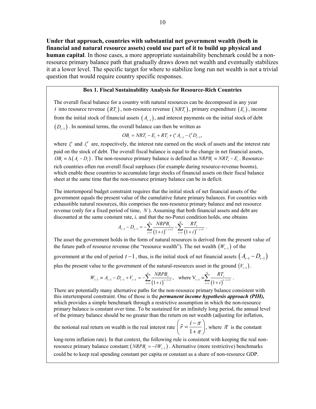**Under that approach, countries with substantial net government wealth (both in financial and natural resource assets) could use part of it to build up physical and human capital**. In those cases, a more appropriate sustainability benchmark could be a nonresource primary balance path that gradually draws down net wealth and eventually stabilizes it at a lower level. The specific target for where to stabilize long run net wealth is not a trivial question that would require country specific responses.

#### **Box 1. Fiscal Sustainability Analysis for Resource-Rich Countries**

The overall fiscal balance for a country with natural resources can be decomposed in any year *t* into resource revenue  $(RT_t)$ , non-resource revenue  $(NRT_t)$ , primary expenditure  $(E_t)$ , income from the initial stock of financial assets  $(A_{t-1})$ , and interest payments on the initial stock of debt  $(D_{t-1})$ . In nominal terms, the overall balance can then be written as

$$
OB_t = NRT_t - E_t + RT_t + i_t^a A_{t-1} - i_t^d D_{t-1},
$$

where  $i_t^a$  and  $i_t^d$  are, respectively, the interest rate earned on the stock of assets and the interest rate paid on the stock of debt. The overall fiscal balance is equal to the change in net financial assets,  $OB<sub>i</sub> \equiv \Delta(A_i - D_i)$ . The non-resource primary balance is defined as *NRPB*<sub> $i$ </sub> = *NRT*<sub>i</sub> $- E_i$ . Resourcerich countries often run overall fiscal surpluses (for example during resource-revenue booms), which enable these countries to accumulate large stocks of financial assets on their fiscal balance sheet at the same time that the non-resource primary balance can be in deficit.

The intertemporal budget constraint requires that the initial stock of net financial assets of the government equals the present value of the cumulative future primary balances. For countries with exhaustible natural resources, this comprises the non-resource primary balance and net resource revenue (only for a fixed period of time, *N* ). Assuming that both financial assets and debt are discounted at the same constant rate, *i,* and that the no-Ponzi condition holds, one obtains

$$
A_{t-1} - D_{t-1} = - \sum_{s=t}^{\infty} \frac{NRPB_s}{(1+i)^{s-t+1}} - \sum_{s=t}^{N} \frac{RT_s}{(1+i)^{s-t+1}}.
$$

The asset the government holds in the form of natural resources is derived from the present value of the future path of resource revenue (the "resource wealth"). The net wealth  $(W_{t-1})$  of the

government at the end of period  $t-1$ , thus, is the initial stock of net financial assets  $(A_{t-1} - D_{t-1})$ plus the present value to the government of the natural-resources asset in the ground  $(V_{t-1})$ .

$$
W_{t-1} = A_{t-1} - D_{t-1} + V_{t-1} = -\sum_{s=t}^{\infty} \frac{NRPB_s}{(1+i)^{s-t+1}}, \text{ where } V_{t-1} = \sum_{s=t}^{N} \frac{RT_s}{(1+i)^{s-t+1}}.
$$

There are potentially many alternative paths for the non-resource primary balance consistent with this intertemporal constraint. One of those is the *permanent income hypothesis approach (PIH),*  which provides a simple benchmark through a restrictive assumption in which the non-resource primary balance is constant over time. To be sustained for an infinitely long period, the annual level of the primary balance should be no greater than the return on net wealth (adjusting for inflation,

the notional real return on wealth is the real interest rate  $\begin{bmatrix} \tilde{r} = \frac{1}{r} \end{bmatrix}$  $\tilde{r} = \frac{i - \pi}{i}$  $\left(\tilde{r} = \frac{i - \pi}{1 + \pi}\right)$ , where  $\pi$  is the constant

long-term inflation rate). In that context, the following rule is consistent with keeping the real nonresource primary balance constant:  $(NRPB_t = -\tilde{r}W_{t-1})$ . Alternative (more restrictive) benchmarks could be to keep real spending constant per capita or constant as a share of non-resource GDP.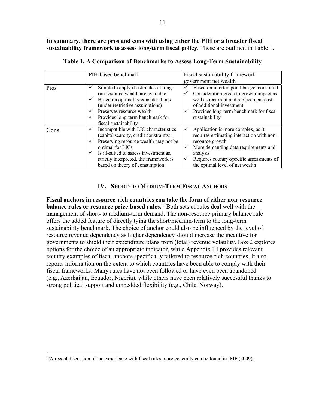**In summary, there are pros and cons with using either the PIH or a broader fiscal sustainability framework to assess long-term fiscal policy**. These are outlined in Table 1.

|      | PIH-based benchmark                                                                                                                                      | Fiscal sustainability framework—                                                                                                                                     |  |  |
|------|----------------------------------------------------------------------------------------------------------------------------------------------------------|----------------------------------------------------------------------------------------------------------------------------------------------------------------------|--|--|
|      |                                                                                                                                                          | government net wealth                                                                                                                                                |  |  |
| Pros | Simple to apply if estimates of long-<br>✓<br>run resource wealth are available<br>Based on optimality considerations<br>(under restrictive assumptions) | Based on intertemporal budget constraint<br>✓<br>Consideration given to growth impact as<br>✓<br>well as recurrent and replacement costs<br>of additional investment |  |  |
|      | Preserves resource wealth<br>Provides long-term benchmark for<br>fiscal sustainability                                                                   | Provides long-term benchmark for fiscal<br>✓<br>sustainability                                                                                                       |  |  |
| Cons | Incompatible with LIC characteristics<br>✓<br>(capital scarcity, credit constraints)<br>Preserving resource wealth may not be                            | Application is more complex, as it<br>✓<br>requires estimating interaction with non-<br>resource growth                                                              |  |  |
|      | optimal for LICs<br>Is ill-suited to assess investment as,<br>strictly interpreted, the framework is                                                     | More demanding data requirements and<br>✓<br>analysis<br>Requires country-specific assessments of<br>✓                                                               |  |  |
|      | based on theory of consumption                                                                                                                           | the optimal level of net wealth                                                                                                                                      |  |  |

**Table 1. A Comparison of Benchmarks to Assess Long-Term Sustainability** 

#### **IV. SHORT- TO MEDIUM-TERM FISCAL ANCHORS**

**Fiscal anchors in resource-rich countries can take the form of either non-resource balance rules or resource price-based rules.**13 Both sets of rules deal well with the management of short- to medium-term demand. The non-resource primary balance rule offers the added feature of directly tying the short/medium-term to the long-term sustainability benchmark. The choice of anchor could also be influenced by the level of resource revenue dependency as higher dependency should increase the incentive for governments to shield their expenditure plans from (total) revenue volatility. Box 2 explores options for the choice of an appropriate indicator, while Appendix III provides relevant country examples of fiscal anchors specifically tailored to resource-rich countries. It also reports information on the extent to which countries have been able to comply with their fiscal frameworks. Many rules have not been followed or have even been abandoned (e.g., Azerbaijan, Ecuador, Nigeria), while others have been relatively successful thanks to strong political support and embedded flexibility (e.g., Chile, Norway).

 $\overline{a}$ 

 $13A$  recent discussion of the experience with fiscal rules more generally can be found in IMF (2009).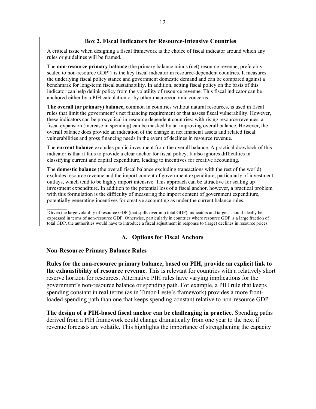#### **Box 2. Fiscal Indicators for Resource-Intensive Countries**

A critical issue when designing a fiscal framework is the choice of fiscal indicator around which any rules or guidelines will be framed.

The **non-resource primary balance** (the primary balance minus (net) resource revenue, preferably scaled to non-resource  $GDP<sup>1</sup>$ ) is the key fiscal indicator in resource-dependent countries. It measures the underlying fiscal policy stance and government domestic demand and can be compared against a benchmark for long-term fiscal sustainability. In addition, setting fiscal policy on the basis of this indicator can help delink policy from the volatility of resource revenue. This fiscal indicator can be anchored either by a PIH calculation or by other macroeconomic concerns.

**The overall (or primary) balance,** common in countries without natural resources, is used in fiscal rules that limit the government's net financing requirement or that assess fiscal vulnerability. However, these indicators can be procyclical in resource dependent countries: with rising resource revenues, a fiscal expansion (increase in spending) can be masked by an improving overall balance. However, the overall balance does provide an indication of the change in net financial assets and related fiscal vulnerabilities and gross financing needs in the event of declines in resource revenue.

The **current balance** excludes public investment from the overall balance. A practical drawback of this indicator is that it fails to provide a clear anchor for fiscal policy. It also ignores difficulties in classifying current and capital expenditure, leading to incentives for creative accounting.

The **domestic balance** (the overall fiscal balance excluding transactions with the rest of the world) excludes resource revenue and the import content of government expenditure, particularly of investment outlays, which tend to be highly import intensive. This approach can be attractive for scaling up investment expenditure. In addition to the potential loss of a fiscal anchor, however, a practical problem with this formulation is the difficulty of measuring the import content of government expenditure, potentially generating incentives for creative accounting as under the current balance rules.

 $\mathcal{L}_\text{max}$ <sup>1</sup>Given the large volatility of resource GDP (that spills over into total GDP), indicators and targets should ideally be expressed in terms of non-resource GDP. Otherwise, particularly in countries where resource GDP is a large fraction of total GDP, the authorities would have to introduce a fiscal adjustment in response to (large) declines in resource prices.

#### **A. Options for Fiscal Anchors**

#### **Non-Resource Primary Balance Rules**

**Rules for the non-resource primary balance, based on PIH, provide an explicit link to the exhaustibility of resource revenue**. This is relevant for countries with a relatively short reserve horizon for resources. Alternative PIH rules have varying implications for the government's non-resource balance or spending path. For example, a PIH rule that keeps spending constant in real terms (as in Timor-Leste's framework) provides a more frontloaded spending path than one that keeps spending constant relative to non-resource GDP.

**The design of a PIH-based fiscal anchor can be challenging in practice**. Spending paths derived from a PIH framework could change dramatically from one year to the next if revenue forecasts are volatile. This highlights the importance of strengthening the capacity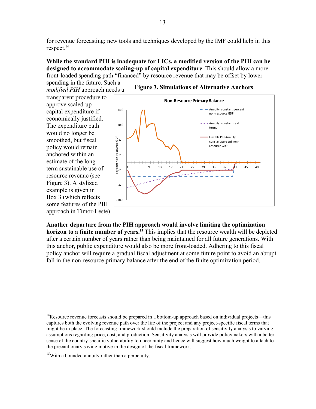for revenue forecasting; new tools and techniques developed by the IMF could help in this respect. $14$ 

## **While the standard PIH is inadequate for LICs, a modified version of the PIH can be designed to accommodate scaling-up of capital expenditure**. This should allow a more front-loaded spending path "financed" by resource revenue that may be offset by lower

spending in the future. Such a *modified PIH* approach needs a



transparent procedure to approve scaled-up capital expenditure if economically justified. The expenditure path would no longer be smoothed, but fiscal policy would remain anchored within an estimate of the longterm sustainable use of resource revenue (see Figure 3). A stylized example is given in Box 3 (which reflects some features of the PIH approach in Timor-Leste).



**Another departure from the PIH approach would involve limiting the optimization horizon to a finite number of years.**<sup>15</sup> This implies that the resource wealth will be depleted after a certain number of years rather than being maintained for all future generations. With this anchor, public expenditure would also be more front-loaded. Adhering to this fiscal policy anchor will require a gradual fiscal adjustment at some future point to avoid an abrupt fall in the non-resource primary balance after the end of the finite optimization period.

 $\overline{a}$  $14$ Resource revenue forecasts should be prepared in a bottom-up approach based on individual projects—this captures both the evolving revenue path over the life of the project and any project-specific fiscal terms that might be in place. The forecasting framework should include the preparation of sensitivity analysis to varying assumptions regarding price, cost, and production. Sensitivity analysis will provide policymakers with a better sense of the country-specific vulnerability to uncertainty and hence will suggest how much weight to attach to the precautionary saving motive in the design of the fiscal framework.

<sup>&</sup>lt;sup>15</sup>With a bounded annuity rather than a perpetuity.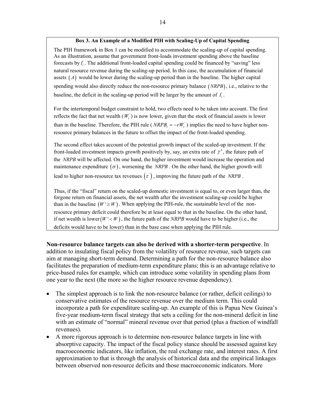#### **Box 3. An Example of a Modified PIH with Scaling-Up of Capital Spending**

The PIH framework in Box 1 can be modified to accommodate the scaling-up of capital spending. As an illustration, assume that government front-loads investment spending above the baseline forecasts by  $I_t$ . The additional front-loaded capital spending could be financed by "saving" less natural resource revenue during the scaling-up period. In this case, the accumulation of financial assets  $(A)$  would be lower during the scaling-up period than in the baseline. The higher capital spending would also directly reduce the non-resource primary balance *NRPB* , i.e., relative to the baseline, the deficit in the scaling-up period will be larger by the amount of  $I_t$ .

For the intertemporal budget constraint to hold, two effects need to be taken into account. The first reflects the fact that net wealth  $(W<sub>i</sub>)$  is now lower, given that the stock of financial assets is lower than in the baseline. Therefore, the PIH rule (*NRPB<sub>t</sub>* =  $-rW_t$ <sup>'</sup>) implies the need to have higher nonresource primary balances in the future to offset the impact of the front-loaded spending.

The second effect takes account of the potential growth impact of the scaled-up investment. If the front-loaded investment impacts growth positively by, say, an extra rate of  $\gamma'$ , the future path of the *NRPB* will be affected. On one hand, the higher investment would increase the operation and maintenance expenditure  $(\sigma)$ , worsening the *NRPB*. On the other hand, the higher growth will lead to higher non-resource tax revenues  $(\tau)$ , improving the future path of the *NRPB*.

Thus, if the "fiscal" return on the scaled-up domestic investment is equal to, or even larger than, the forgone return on financial assets, the net wealth after the investment scaling-up could be higher than in the baseline  $(W' \geq W)$ . When applying the PIH-rule, the sustainable level of the nonresource primary deficit could therefore be at least equal to that in the baseline. On the other hand, if net wealth is lower  $(W' < W)$ , the future path of the *NRPB* would have to be higher (i.e., the deficits would have to be lower) than in the base case when applying the PIH rule.

**Non-resource balance targets can also be derived with a shorter-term perspective**. In addition to insulating fiscal policy from the volatility of resource revenue, such targets can aim at managing short-term demand. Determining a path for the non-resource balance also facilitates the preparation of medium-term expenditure plans; this is an advantage relative to price-based rules for example, which can introduce some volatility in spending plans from one year to the next (the more so the higher resource revenue dependency).

- The simplest approach is to link the non-resource balance (or rather, deficit ceilings) to conservative estimates of the resource revenue over the medium term. This could incorporate a path for expenditure scaling-up. An example of this is Papua New Guinea's five-year medium-term fiscal strategy that sets a ceiling for the non-mineral deficit in line with an estimate of "normal" mineral revenue over that period (plus a fraction of windfall revenues).
- A more rigorous approach is to determine non-resource balance targets in line with absorptive capacity. The impact of the fiscal policy stance should be assessed against key macroeconomic indicators, like inflation, the real exchange rate, and interest rates. A first approximation to that is through the analysis of historical data and the empirical linkages between observed non-resource deficits and those macroeconomic indicators. More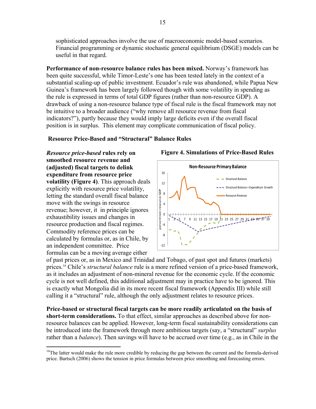sophisticated approaches involve the use of macroeconomic model-based scenarios. Financial programming or dynamic stochastic general equilibrium (DSGE) models can be useful in that regard.

**Performance of non-resource balance rules has been mixed.** Norway's framework has been quite successful, while Timor-Leste's one has been tested lately in the context of a substantial scaling-up of public investment. Ecuador's rule was abandoned, while Papua New Guinea's framework has been largely followed though with some volatility in spending as the rule is expressed in terms of total GDP figures (rather than non-resource GDP). A drawback of using a non-resource balance type of fiscal rule is the fiscal framework may not be intuitive to a broader audience ("why remove all resource revenue from fiscal indicators?"), partly because they would imply large deficits even if the overall fiscal position is in surplus. This element may complicate communication of fiscal policy.

## **Resource Price-Based and "Structural" Balance Rules**

*Resource price-based* **rules rely on smoothed resource revenue and (adjusted) fiscal targets to delink expenditure from resource price volatility (Figure 4)**. This approach deals explicitly with resource price volatility, letting the standard overall fiscal balance move with the swings in resource revenue; however, it in principle ignores exhaustibility issues and changes in resource production and fiscal regimes. Commodity reference prices can be calculated by formulas or, as in Chile, by an independent committee. Price formulas can be a moving average either

 $\overline{a}$ 



#### **Figure 4. Simulations of Price-Based Rules**

of past prices or, as in Mexico and Trinidad and Tobago, of past spot and futures (markets) prices.16 Chile's *structural balance* rule is a more refined version of a price-based framework, as it includes an adjustment of non-mineral revenue for the economic cycle. If the economic cycle is not well defined, this additional adjustment may in practice have to be ignored. This is exactly what Mongolia did in its more recent fiscal framework (Appendix III) while still calling it a "structural" rule, although the only adjustment relates to resource prices.

**Price-based or structural fiscal targets can be more readily articulated on the basis of short-term considerations.** To that effect, similar approaches as described above for nonresource balances can be applied. However, long-term fiscal sustainability considerations can be introduced into the framework through more ambitious targets (say, a "structural" *surplus* rather than a *balance*). Then savings will have to be accrued over time (e.g., as in Chile in the

<sup>&</sup>lt;sup>16</sup>The latter would make the rule more credible by reducing the gap between the current and the formula-derived price. Bartsch (2006) shows the tension in price formulas between price smoothing and forecasting errors.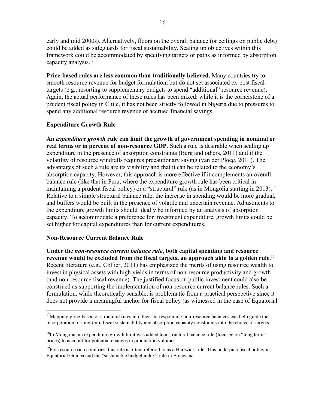early and mid 2000s). Alternatively, floors on the overall balance (or ceilings on public debt) could be added as safeguards for fiscal sustainability. Scaling up objectives within this framework could be accommodated by specifying targets or paths as informed by absorption capacity analysis.17

**Price-based rules are less common than traditionally believed.** Many countries try to smooth resource revenue for budget formulation, but do not set associated ex-post fiscal targets (e.g., resorting to supplementary budgets to spend "additional" resource revenue). Again, the actual performance of these rules has been mixed: while it is the cornerstone of a prudent fiscal policy in Chile, it has not been strictly followed in Nigeria due to pressures to spend any additional resource revenue or accrued financial savings.

## **Expenditure Growth Rule**

**An** *expenditure growth* **rule can limit the growth of government spending in nominal or real terms or in percent of non-resource GDP**. Such a rule is desirable when scaling up expenditure in the presence of absorption constraints (Berg and others, 2011) and if the volatility of resource windfalls requires precautionary saving (van der Ploeg, 2011). The advantages of such a rule are its visibility and that it can be related to the economy's absorption capacity. However, this approach is more effective if it complements an overallbalance rule (like that in Peru, where the expenditure growth rule has been critical in maintaining a prudent fiscal policy) or a "structural" rule (as in Mongolia starting in 2013).<sup>18</sup> Relative to a simple structural balance rule, the increase in spending would be more gradual, and buffers would be built in the presence of volatile and uncertain revenue. Adjustments to the expenditure growth limits should ideally be informed by an analysis of absorption capacity. To accommodate a preference for investment expenditure, growth limits could be set higher for capital expenditures than for current expenditures.

#### **Non-Resource Current Balance Rule**

<u>.</u>

**Under the** *non-resource current balance rule***, both capital spending and resource revenue would be excluded from the fiscal targets, an approach akin to a golden rule**. 19 Recent literature (e.g., Collier, 2011) has emphasized the merits of using resource wealth to invest in physical assets with high yields in terms of non-resource productivity and growth (and non-resource fiscal revenue). The justified focus on public investment could also be construed as supporting the implementation of non-resource current balance rules. Such a formulation, while theoretically sensible, is problematic from a practical perspective since it does not provide a meaningful anchor for fiscal policy (as witnessed in the case of Equatorial

<sup>&</sup>lt;sup>17</sup>Mapping price-based or structural rules into their corresponding non-resource balances can help guide the incorporation of long-term fiscal sustainability and absorption capacity constraints into the choice of targets.

 $18$ In Mongolia, an expenditure growth limit was added to a structural balance rule (focused on "long term" prices) to account for potential changes in production volumes.

 $19$ For resource rich countries, this rule is often referred to as a Hartwick rule. This underpins fiscal policy in Equatorial Guinea and the "sustainable budget index" rule in Botswana.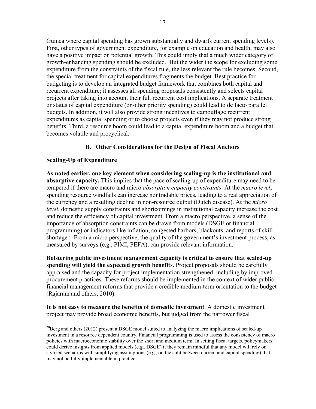Guinea where capital spending has grown substantially and dwarfs current spending levels). First, other types of government expenditure, for example on education and health, may also have a positive impact on potential growth. This could imply that a much wider category of growth-enhancing spending should be excluded. But the wider the scope for excluding some expenditure from the constraints of the fiscal rule, the less relevant the rule becomes. Second, the special treatment for capital expenditures fragments the budget. Best practice for budgeting is to develop an integrated budget framework that combines both capital and recurrent expenditure; it assesses all spending proposals consistently and selects capital projects after taking into account their full recurrent cost implications. A separate treatment or status of capital expenditure (or other priority spending) could lead to de facto parallel budgets. In addition, it will also provide strong incentives to camouflage recurrent expenditures as capital spending or to choose projects even if they may not produce strong benefits. Third, a resource boom could lead to a capital expenditure boom and a budget that becomes volatile and procyclical.

## **B. Other Considerations for the Design of Fiscal Anchors**

## **Scaling-Up of Expenditure**

 $\overline{a}$ 

**As noted earlier, one key element when considering scaling-up is the institutional and absorptive capacity.** This implies that the pace of scaling-up of expenditure may need to be tempered if there are macro and micro *absorption capacity constraints*. At the *macro level*, spending resource windfalls can increase nontradable prices, leading to a real appreciation of the currency and a resulting decline in non-resource output (Dutch disease). At the *micro level*, domestic supply constraints and shortcomings in institutional capacity increase the cost and reduce the efficiency of capital investment. From a macro perspective, a sense of the importance of absorption constraints can be drawn from models (DSGE or financial programming) or indicators like inflation, congested harbors, blackouts, and reports of skill shortage.<sup>20</sup> From a micro perspective, the quality of the government's investment process, as measured by surveys (e.g., PIMI, PEFA), can provide relevant information.

**Bolstering public investment management capacity is critical to ensure that scaled-up spending will yield the expected growth benefits**. Project proposals should be carefully appraised and the capacity for project implementation strengthened, including by improved procurement practices. These reforms should be implemented in the context of wider public financial management reforms that provide a credible medium-term orientation to the budget (Rajaram and others, 2010).

**It is not easy to measure the benefits of domestic investment**. A domestic investment project may provide broad economic benefits, but judged from the narrower fiscal

<sup>&</sup>lt;sup>20</sup>Berg and others (2012) present a DSGE model suited to analyzing the macro implications of scaled-up investment in a resource dependent country. Financial programming is used to assess the consistency of macro policies with macroeconomic stability over the short and medium term. In setting fiscal targets, policymakers could derive insights from applied models (e.g., DSGE) if they remain mindful that any model will rely on stylized scenarios with simplifying assumptions (e.g., on the split between current and capital spending) that may not be fully implementable in practice.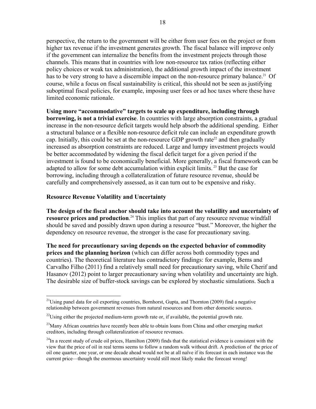perspective, the return to the government will be either from user fees on the project or from higher tax revenue if the investment generates growth. The fiscal balance will improve only if the government can internalize the benefits from the investment projects through those channels. This means that in countries with low non-resource tax ratios (reflecting either policy choices or weak tax administration), the additional growth impact of the investment has to be very strong to have a discernible impact on the non-resource primary balance.<sup>21</sup> Of course, while a focus on fiscal sustainability is critical, this should not be seen as justifying suboptimal fiscal policies, for example, imposing user fees or ad hoc taxes where these have limited economic rationale.

**Using more "accommodative" targets to scale up expenditure, including through borrowing, is not a trivial exercise**. In countries with large absorption constraints, a gradual increase in the non-resource deficit targets would help absorb the additional spending. Either a structural balance or a flexible non-resource deficit rule can include an expenditure growth cap. Initially, this could be set at the non-resource GDP growth rate<sup>22</sup> and then gradually increased as absorption constraints are reduced. Large and lumpy investment projects would be better accommodated by widening the fiscal deficit target for a given period if the investment is found to be economically beneficial. More generally, a fiscal framework can be adapted to allow for some debt accumulation within explicit limits.<sup>23</sup> But the case for borrowing, including through a collateralization of future resource revenue, should be carefully and comprehensively assessed, as it can turn out to be expensive and risky.

#### **Resource Revenue Volatility and Uncertainty**

**The design of the fiscal anchor should take into account the volatility and uncertainty of resource prices and production**. 24 This implies that part of any resource revenue windfall should be saved and possibly drawn upon during a resource "bust." Moreover, the higher the dependency on resource revenue, the stronger is the case for precautionary saving.

**The need for precautionary saving depends on the expected behavior of commodity prices and the planning horizon** (which can differ across both commodity types and countries). The theoretical literature has contradictory findings: for example, Bems and Carvalho Filho (2011) find a relatively small need for precautionary saving, while Cherif and Hasanov (2012) point to larger precautionary saving when volatility and uncertainty are high. The desirable size of buffer-stock savings can be explored by stochastic simulations. Such a

<sup>&</sup>lt;u>.</u> <sup>21</sup>Using panel data for oil exporting countries, Bornhorst, Gupta, and Thornton (2009) find a negative relationship between government revenues from natural resources and from other domestic sources.

 $^{22}$ Using either the projected medium-term growth rate or, if available, the potential growth rate.

<sup>&</sup>lt;sup>23</sup>Many African countries have recently been able to obtain loans from China and other emerging market creditors, including through collateralization of resource revenues.

 $^{24}$ In a recent study of crude oil prices, Hamilton (2009) finds that the statistical evidence is consistent with the view that the price of oil in real terms seems to follow a random walk without drift. A prediction of the price of oil one quarter, one year, or one decade ahead would not be at all naïve if its forecast in each instance was the current price—though the enormous uncertainty would still most likely make the forecast wrong!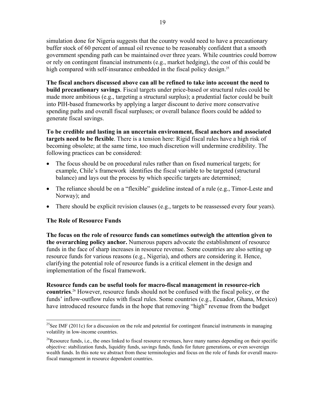simulation done for Nigeria suggests that the country would need to have a precautionary buffer stock of 60 percent of annual oil revenue to be reasonably confident that a smooth government spending path can be maintained over three years. While countries could borrow or rely on contingent financial instruments (e.g., market hedging), the cost of this could be high compared with self-insurance embedded in the fiscal policy design.<sup>25</sup>

**The fiscal anchors discussed above can all be refined to take into account the need to build precautionary savings**. Fiscal targets under price-based or structural rules could be made more ambitious (e.g., targeting a structural surplus); a prudential factor could be built into PIH-based frameworks by applying a larger discount to derive more conservative spending paths and overall fiscal surpluses; or overall balance floors could be added to generate fiscal savings.

**To be credible and lasting in an uncertain environment, fiscal anchors and associated targets need to be flexible**. There is a tension here: Rigid fiscal rules have a high risk of becoming obsolete; at the same time, too much discretion will undermine credibility. The following practices can be considered:

- The focus should be on procedural rules rather than on fixed numerical targets; for example, Chile's framework identifies the fiscal variable to be targeted (structural balance) and lays out the process by which specific targets are determined;
- The reliance should be on a "flexible" guideline instead of a rule (e.g., Timor-Leste and Norway); and
- There should be explicit revision clauses (e.g., targets to be reassessed every four years).

#### **The Role of Resource Funds**

<u>.</u>

**The focus on the role of resource funds can sometimes outweigh the attention given to the overarching policy anchor.** Numerous papers advocate the establishment of resource funds in the face of sharp increases in resource revenue. Some countries are also setting up resource funds for various reasons (e.g., Nigeria), and others are considering it. Hence, clarifying the potential role of resource funds is a critical element in the design and implementation of the fiscal framework.

**Resource funds can be useful tools for macro-fiscal management in resource-rich countries**. 26 However, resource funds should not be confused with the fiscal policy, or the funds' inflow-outflow rules with fiscal rules. Some countries (e.g., Ecuador, Ghana, Mexico) have introduced resource funds in the hope that removing "high" revenue from the budget

<sup>&</sup>lt;sup>25</sup>See IMF (2011c) for a discussion on the role and potential for contingent financial instruments in managing volatility in low-income countries.

 $^{26}$ Resource funds, i.e., the ones linked to fiscal resource revenues, have many names depending on their specific objective: stabilization funds, liquidity funds, savings funds, funds for future generations, or even sovereign wealth funds. In this note we abstract from these terminologies and focus on the role of funds for overall macrofiscal management in resource dependent countries.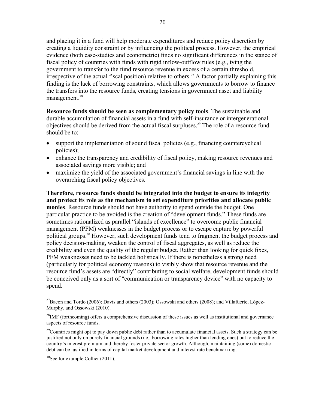20

and placing it in a fund will help moderate expenditures and reduce policy discretion by creating a liquidity constraint or by influencing the political process. However, the empirical evidence (both case-studies and econometric) finds no significant differences in the stance of fiscal policy of countries with funds with rigid inflow-outflow rules (e.g., tying the government to transfer to the fund resource revenue in excess of a certain threshold, irrespective of the actual fiscal position) relative to others.<sup>27</sup> A factor partially explaining this finding is the lack of borrowing constraints, which allows governments to borrow to finance the transfers into the resource funds, creating tensions in government asset and liability management.<sup>28</sup>

**Resource funds should be seen as complementary policy tools**. The sustainable and durable accumulation of financial assets in a fund with self-insurance or intergenerational objectives should be derived from the actual fiscal surpluses.29 The role of a resource fund should be to:

- support the implementation of sound fiscal policies (e.g., financing countercyclical policies);
- enhance the transparency and credibility of fiscal policy, making resource revenues and associated savings more visible; and
- maximize the yield of the associated government's financial savings in line with the overarching fiscal policy objectives.

**Therefore, resource funds should be integrated into the budget to ensure its integrity and protect its role as the mechanism to set expenditure priorities and allocate public monies**. Resource funds should not have authority to spend outside the budget. One particular practice to be avoided is the creation of "development funds." These funds are sometimes rationalized as parallel "islands of excellence" to overcome public financial management (PFM) weaknesses in the budget process or to escape capture by powerful political groups.30 However, such development funds tend to fragment the budget process and policy decision-making, weaken the control of fiscal aggregates, as well as reduce the credibility and even the quality of the regular budget. Rather than looking for quick fixes, PFM weaknesses need to be tackled holistically. If there is nonetheless a strong need (particularly for political economy reasons) to visibly show that resource revenue and the resource fund's assets are "directly" contributing to social welfare, development funds should be conceived only as a sort of "communication or transparency device" with no capacity to spend.

 $\overline{a}$ <sup>27</sup>Bacon and Tordo (2006); Davis and others (2003); Ossowski and others (2008); and Villafuerte, López-Murphy, and Ossowski (2010).

 $^{28}$ IMF (forthcoming) offers a comprehensive discussion of these issues as well as institutional and governance aspects of resource funds.

<sup>&</sup>lt;sup>29</sup>Countries might opt to pay down public debt rather than to accumulate financial assets. Such a strategy can be justified not only on purely financial grounds (i.e., borrowing rates higher than lending ones) but to reduce the country's interest premium and thereby foster private sector growth. Although, maintaining (some) domestic debt can be justified in terms of capital market development and interest rate benchmarking.

 $30$ See for example Collier (2011).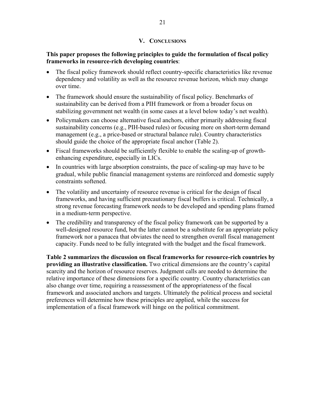## **V. CONCLUSIONS**

## **This paper proposes the following principles to guide the formulation of fiscal policy frameworks in resource-rich developing countries**:

- The fiscal policy framework should reflect country-specific characteristics like revenue dependency and volatility as well as the resource revenue horizon, which may change over time.
- The framework should ensure the sustainability of fiscal policy. Benchmarks of sustainability can be derived from a PIH framework or from a broader focus on stabilizing government net wealth (in some cases at a level below today's net wealth).
- Policymakers can choose alternative fiscal anchors, either primarily addressing fiscal sustainability concerns (e.g., PIH-based rules) or focusing more on short-term demand management (e.g., a price-based or structural balance rule). Country characteristics should guide the choice of the appropriate fiscal anchor (Table 2).
- Fiscal frameworks should be sufficiently flexible to enable the scaling-up of growthenhancing expenditure, especially in LICs.
- In countries with large absorption constraints, the pace of scaling-up may have to be gradual, while public financial management systems are reinforced and domestic supply constraints softened.
- The volatility and uncertainty of resource revenue is critical for the design of fiscal frameworks, and having sufficient precautionary fiscal buffers is critical. Technically, a strong revenue forecasting framework needs to be developed and spending plans framed in a medium-term perspective.
- The credibility and transparency of the fiscal policy framework can be supported by a well-designed resource fund, but the latter cannot be a substitute for an appropriate policy framework nor a panacea that obviates the need to strengthen overall fiscal management capacity. Funds need to be fully integrated with the budget and the fiscal framework.

**Table 2 summarizes the discussion on fiscal frameworks for resource-rich countries by providing an illustrative classification.** Two critical dimensions are the country's capital scarcity and the horizon of resource reserves. Judgment calls are needed to determine the relative importance of these dimensions for a specific country. Country characteristics can also change over time, requiring a reassessment of the appropriateness of the fiscal framework and associated anchors and targets. Ultimately the political process and societal preferences will determine how these principles are applied, while the success for implementation of a fiscal framework will hinge on the political commitment.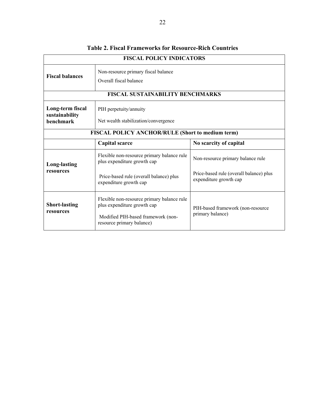| <b>FISCAL POLICY INDICATORS</b>                                                                                   |                                                                                                                                              |                                                                   |  |  |  |
|-------------------------------------------------------------------------------------------------------------------|----------------------------------------------------------------------------------------------------------------------------------------------|-------------------------------------------------------------------|--|--|--|
| <b>Fiscal balances</b>                                                                                            | Non-resource primary fiscal balance<br>Overall fiscal balance                                                                                |                                                                   |  |  |  |
| <b>FISCAL SUSTAINABILITY BENCHMARKS</b>                                                                           |                                                                                                                                              |                                                                   |  |  |  |
| Long-term fiscal<br>PIH perpetuity/annuity<br>sustainability<br>benchmark<br>Net wealth stabilization/convergence |                                                                                                                                              |                                                                   |  |  |  |
| FISCAL POLICY ANCHOR/RULE (Short to medium term)                                                                  |                                                                                                                                              |                                                                   |  |  |  |
|                                                                                                                   | Capital scarce                                                                                                                               | No scarcity of capital                                            |  |  |  |
| <b>Long-lasting</b><br>resources                                                                                  | Flexible non-resource primary balance rule<br>plus expenditure growth cap                                                                    | Non-resource primary balance rule                                 |  |  |  |
|                                                                                                                   | Price-based rule (overall balance) plus<br>expenditure growth cap                                                                            | Price-based rule (overall balance) plus<br>expenditure growth cap |  |  |  |
| <b>Short-lasting</b><br>resources                                                                                 | Flexible non-resource primary balance rule<br>plus expenditure growth cap<br>Modified PIH-based framework (non-<br>resource primary balance) | PIH-based framework (non-resource<br>primary balance)             |  |  |  |

## **Table 2. Fiscal Frameworks for Resource-Rich Countries**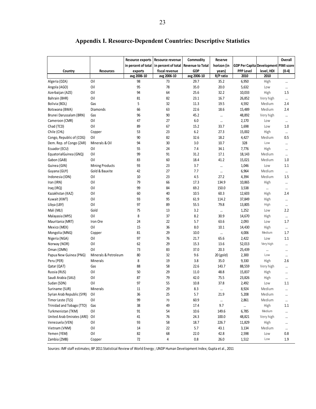|                                |                        | Resource exports    | Resource revenue    | Commodity               | Reserve          |                                       |                  | Overall         |
|--------------------------------|------------------------|---------------------|---------------------|-------------------------|------------------|---------------------------------------|------------------|-----------------|
|                                |                        | in percent of total | in percent of total | <b>Revenue to Total</b> | horizon (in      | GDP Per Capita Development PIMI score |                  |                 |
| Country                        | <b>Resources</b>       | exports             | fiscal revenue      | GDP                     | years)           | <b>PPP Level</b>                      | level, HDI       | $(0-4)$         |
|                                |                        | avg 2006-10         | avg 2006-10         | avg 2006-10             | R/P ratio        | 2010                                  | 2010             |                 |
| Algeria (DZA)                  | Oil                    | 98                  | 73                  | 29.7                    | 35.2             | 6,950                                 | High             | $\cdots$        |
| Angola (AGO)                   | Oil                    | 95                  | 78                  | 35.0                    | 20.0             | 5,632                                 | Low              | $\cdots$        |
| Azerbaijan (AZE)               | Oil                    | 94                  | 64                  | 25.6                    | 32.2             | 10,033                                | High             | 1.5             |
| Bahrain (BHR)                  | Oil                    | 81                  | 82                  | 23.1                    | 16.7             | 26,852                                | Very high        | $\cdots$        |
| Bolivia (BOL)                  | Gas                    | 5                   | 32                  | 11.3                    | 19.5             | 4,592                                 | Medium           | 2.4             |
| Botswana (BWA)                 | Diamonds               | 66                  | 63                  | 22.6                    | 18.6             | 15,489                                | Medium           | 2.4             |
| Brunei Darussalam (BRN)        | Gas                    | 96                  | 90                  | 45.2                    |                  | 48,892                                | Very high        | $\cdots$        |
| Cameroon (CMR)                 | Oil                    | 47                  | 27                  | 6.0                     |                  | 2,170                                 | Low              | $\cdots$        |
| Chad (TCD)                     | Oil                    | 89                  | 67                  | 15.2                    | 33.7             | 1,698                                 | Low              | 1.0             |
| Chile (CHL)                    | Copper                 | 53                  | 23                  | 6.2                     | 27.3             | 15,002                                | High             | $\cdots$        |
| Congo, Republic of (COG)       | Oil                    | 90                  | 82                  | 32.6                    | 18.2             | 4,427                                 | Medium           | 0.5             |
| Dem. Rep. of Congo (ZAR)       | Minerals & Oil         | 94                  | 30                  | 3.0                     | 10.7             | 328                                   | Low              | $\cdots$        |
| Ecuador (ECU)                  | Oil                    | 55                  | 24                  | 7.4                     | 34.1             | 7,776                                 | High             | $\cdots$        |
| EquatorialGuinea (GNQ)         | Oil                    | 99                  | 91                  | 31.2                    | 17.1             | 18,143                                | Medium           | $\cdots$        |
| Gabon (GAB)                    | Oil                    | 83                  | 60                  | 18.4                    | 41.2             | 15,021                                | Medium           | 1.0             |
| Guinea (GIN)                   | <b>Mining Products</b> | 93                  | 23                  | 3.7                     |                  | 1,046                                 | Low              | 1.1             |
| Guyana (GUY)                   | Gold & Bauxite         | 42                  | 27                  | 7.7                     |                  | 6,964                                 | Medium           | $\cdots$        |
| Indonesia (IDN)                | Oil                    | 10                  | 23                  | 4.5                     | 27.2             | 4,394                                 | Medium           | 1.5             |
| Iran (IRN)                     | Oil                    | 79                  | 66                  | 17.3                    | 134.9            | 10,865                                | High             | $\cdots$        |
| Iraq (IRQ)                     | Oil                    | 99                  | 84                  | 69.2                    | 150.0            | 3,538                                 |                  |                 |
| Kazakhstan (KAZ)               | Oil                    | 60                  | 40                  | 10.5                    | 60.3             | 12,603                                | High             | 2.4             |
| Kuwait (KWT)                   | Oil                    | 93                  | 95                  | 61.9                    | 114.2            | 37,849                                | High             | $\cdots$        |
| Libya (LBY)                    | Oil                    | 97                  | 89                  | 55.5                    | 79.8             | 13,805                                | High             | $\cdots$        |
| Mali (MLI)                     | Gold                   | 75                  | 13                  | 3.2                     | $\cdots$         | 1,252                                 | Low              | 2.2             |
| Malayasia (MYS)                | Oil                    | 8                   | 37                  | 8.2                     | 30.9             | 14,670                                | High             | $\cdots$        |
| Mauritania (MRT)               | Iron Ore               | 24                  | 22                  | 5.7                     | 63.6             | 2,093                                 | Low              | 1.7             |
| Mexico (MEX)                   | Oil                    | 15                  | 36                  | 8.0                     | 10.1             | 14,430                                | High             |                 |
| Mongolia (MNG)                 | Copper                 | 81                  | 29                  | 10.0                    |                  | 4,006                                 | Medium           | $\cdots$<br>1.7 |
| Nigeria (NGA)                  | Oil                    | 97                  | 76                  | 21.7                    | $\cdots$<br>65.6 | 2,422                                 | Low              | 1.1             |
| Norway (NOR)                   | Oil                    | 62                  | 29                  | 15.3                    | 13.6             | 52,013                                | Very high        |                 |
| Oman (OMN)                     | Oil                    | 73                  | 83                  | 37.0                    | 20.3             | 25,439                                |                  | $\cdots$        |
| Papua New Guinea (PNG)         | Minerals & Petroleum   | 80                  | 32                  | 9.6                     | 20 (gold)        | 2,300                                 | <br>Low          | $\cdots$        |
| Peru (PER)                     | <b>Minerals</b>        | 8                   | 19                  | 3.8                     | 35.0             | 9,330                                 | High             | $\cdots$<br>2.6 |
| Qatar (QAT)                    | Gas                    | 88                  | 58                  | 22.6                    | 143.7            | 88,559                                | Very high        |                 |
| Russia (RUS)                   | Oil                    | 50                  | 29                  | 11.0                    | 48.8             | 15,837                                | High             | $\cdots$        |
| Saudi Arabia (SAU)             | Oil                    | 87                  | 79                  | 42.0                    | 75.5             | 23,826                                | High             | $\cdots$        |
| Sudan (SDN)                    | Oil                    | 97                  | 55                  | 10.8                    | 37.8             | 2,492                                 | Low              | $\cdots$<br>1.1 |
| Suriname (SUR)                 |                        | 11                  | 29                  | 8.3                     |                  | 8,924                                 | Medium           |                 |
| Syrian Arab Republic (SYR)     | Minerals<br>Oil        | 36                  | 25                  | 5.7                     | <br>21.9         | 5,208                                 |                  |                 |
|                                |                        |                     |                     |                         |                  |                                       | Medium<br>Medium | $\cdots$        |
| Timor Leste (TLS)              | Oil                    | 99                  | 70<br>49            | 60.9                    | $\cdots$         | 2,861                                 |                  | $\cdots$        |
| Trinidad and Tobago (TTO)      | Gas                    | 38                  |                     | 17.4                    | 9.7              | $\cdots$                              | High<br>Medium   | 1.1             |
| Turkmenistan (TKM)             | Oil                    | 91                  | 54                  | 10.6                    | 149.6            | 6,785                                 |                  | $\cdots$        |
| United Arab Emirates (ARE) Oil |                        | 41                  | 76                  | 24.3                    | 100.0            | 48,821                                | Very high        | $\cdots$        |
| Venezuela (VEN)                | Oil                    | 93                  | 58                  | 18.7                    | 226.7            | 11,829                                | High             | $\cdots$        |
| Vietnam (VNM)                  | Oil                    | 14                  | 22                  | 5.7                     | 43.1             | 3,134                                 | Medium           | $\cdots$        |
| Yemen (YEM)                    | Oil                    | 82                  | 68                  | 22.0                    | 42.8             | 2,598                                 | Low              | $0.8\,$         |
| Zambia (ZMB)                   | Copper                 | 72                  | 4                   | 0.8                     | 26.0             | 1,512                                 | Low              | 1.9             |

## **Appendix I. Resource-Dependent Countries: Descriptive Statistics**

Sources: IMF staff estimates; BP 2011 Statistical Review of World Energy ; UNDP Human Development Index; Gupta et al., 2011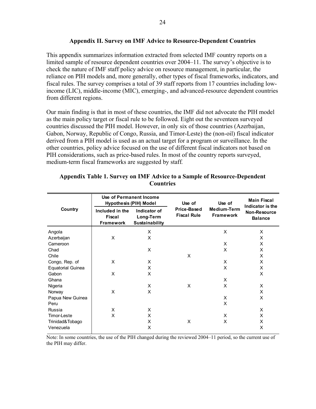#### **Appendix II. Survey on IMF Advice to Resource-Dependent Countries**

This appendix summarizes information extracted from selected IMF country reports on a limited sample of resource dependent countries over 2004–11. The survey's objective is to check the nature of IMF staff policy advice on resource management, in particular, the reliance on PIH models and, more generally, other types of fiscal frameworks, indicators, and fiscal rules. The survey comprises a total of 39 staff reports from 17 countries including lowincome (LIC), middle-income (MIC), emerging-, and advanced-resource dependent countries from different regions.

Our main finding is that in most of these countries, the IMF did not advocate the PIH model as the main policy target or fiscal rule to be followed. Eight out the seventeen surveyed countries discussed the PIH model. However, in only six of those countries (Azerbaijan, Gabon, Norway, Republic of Congo, Russia, and Timor-Leste) the (non-oil) fiscal indicator derived from a PIH model is used as an actual target for a program or surveillance. In the other countries, policy advice focused on the use of different fiscal indicators not based on PIH considerations, such as price-based rules. In most of the country reports surveyed, medium-term fiscal frameworks are suggested by staff*.*

|                          | Use of Permanent Income<br><b>Hypothesis (PIH) Model</b> |                                             | Use of                            | Use of                          | <b>Main Fiscal</b><br>Indicator is the<br>Non-Resource<br><b>Balance</b> |  |
|--------------------------|----------------------------------------------------------|---------------------------------------------|-----------------------------------|---------------------------------|--------------------------------------------------------------------------|--|
| Country                  | Included in the<br>Fiscal<br><b>Framework</b>            | Indicator of<br>Long-Term<br>Sustainability | Price-Based<br><b>Fiscal Rule</b> | Medium-Term<br><b>Framework</b> |                                                                          |  |
| Angola                   |                                                          | X                                           |                                   | X                               | X                                                                        |  |
| Azerbaijan               | X                                                        | X                                           |                                   |                                 | X                                                                        |  |
| Cameroon                 |                                                          |                                             |                                   | X                               | X                                                                        |  |
| Chad                     |                                                          | X                                           |                                   | X                               | X                                                                        |  |
| Chile                    |                                                          |                                             | X                                 |                                 | X                                                                        |  |
| Congo, Rep. of           | X                                                        | X                                           |                                   | X                               | X                                                                        |  |
| <b>Equatorial Guinea</b> |                                                          | X                                           |                                   | X                               | X                                                                        |  |
| Gabon                    | X                                                        | X                                           |                                   |                                 | X                                                                        |  |
| Ghana                    |                                                          |                                             |                                   | X                               |                                                                          |  |
| Nigeria                  |                                                          | X                                           | X                                 | X                               | X                                                                        |  |
| Norway                   | X                                                        | X                                           |                                   |                                 | X                                                                        |  |
| Papua New Guinea         |                                                          |                                             |                                   | X                               | X                                                                        |  |
| Peru                     |                                                          |                                             |                                   | X                               |                                                                          |  |
| Russia                   | X                                                        | X                                           |                                   |                                 | X                                                                        |  |
| Timor-Leste              | X                                                        | X                                           |                                   | X                               | X                                                                        |  |
| Trinidad&Tobago          |                                                          | X                                           | X                                 | X                               | X                                                                        |  |
| Venezuela                |                                                          | X                                           |                                   |                                 | X                                                                        |  |

## **Appendix Table 1. Survey on IMF Advice to a Sample of Resource-Dependent Countries**

Note: In some countries, the use of the PIH changed during the reviewed 2004–11 period, so the current use of the PIH may differ.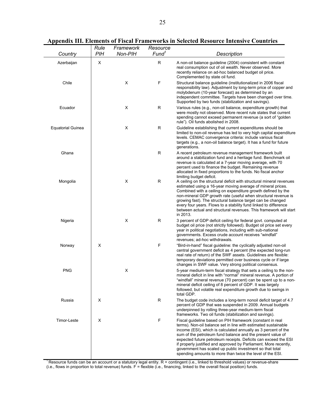|                          | Rule       | Framework | Resource          |                                                                                                                                                                                                                                                                                                                                                                                                                                                                                                                             |
|--------------------------|------------|-----------|-------------------|-----------------------------------------------------------------------------------------------------------------------------------------------------------------------------------------------------------------------------------------------------------------------------------------------------------------------------------------------------------------------------------------------------------------------------------------------------------------------------------------------------------------------------|
| Country                  | <b>PIH</b> | Non-PIH   | Fund <sup>1</sup> | Description                                                                                                                                                                                                                                                                                                                                                                                                                                                                                                                 |
| Azerbaijan               | X          |           | $\mathsf R$       | A non-oil balance guideline (2004) consistent with constant<br>real consumption out of oil wealth. Never observed. More<br>recently reliance on ad-hoc balanced budget oil price.<br>Complemented by state oil fund.                                                                                                                                                                                                                                                                                                        |
| Chile                    |            | X         | $\mathsf F$       | Structural balance guideline (institutionalized in 2006 fiscal<br>responsibility law). Adjustment by long-term price of copper and<br>molybdenum (10-year forecast) as determined by an<br>independent committee. Targets have been changed over time.<br>Supported by two funds (stabilization and savings).                                                                                                                                                                                                               |
| Ecuador                  |            | X         | $\mathsf{R}$      | Various rules (e.g., non-oil balance, expenditure growth) that<br>were mostly not observed. More recent rule states that current<br>spending cannot exceed permanent revenue (a sort of "golden"<br>rule"). Oil funds abolished in 2008.                                                                                                                                                                                                                                                                                    |
| <b>Equatorial Guinea</b> |            | X         | $\mathsf R$       | Guideline establishing that current expenditures should be<br>limited to non-oil revenue has led to very high capital expenditure<br>levels. CEMAC convergence criteria: include various fiscal<br>targets (e.g., a non-oil balance target). It has a fund for future<br>generations.                                                                                                                                                                                                                                       |
| Ghana                    |            |           | $\mathsf R$       | A recent petroleum revenue management framework built<br>around a stabilization fund and a heritage fund. Benchmark oil<br>revenue is calculated at a 7-year moving average, with 70<br>percent used to finance the budget. Remaining revenue<br>allocated in fixed proportions to the funds. No fiscal anchor<br>limiting budget deficit.                                                                                                                                                                                  |
| Mongolia                 |            | X         | $\mathsf{R}$      | A ceiling on the structural deficit with structural mineral revenues<br>estimated using a 16-year moving average of mineral prices.<br>Combined with a ceiling on expenditure growth defined by the<br>non-mineral GDP growth rate (useful when structural revenue is<br>growing fast). The structural balance target can be changed<br>every four years. Flows to a stability fund linked to difference<br>between actual and structural revenues. This framework will start<br>in 2013.                                   |
| Nigeria                  |            | X         | $\mathsf R$       | 3 percent of GDP deficit ceiling for federal govt. computed at<br>budget oil price (not strictly followed). Budget oil price set every<br>year in political negotiations, including with sub-national<br>governments. Excess crude account receives "windfall"<br>revenues; ad-hoc withdrawals.                                                                                                                                                                                                                             |
| Norway                   | X          |           | $\mathsf F$       | "Bird-in-hand" fiscal guideline: the cyclically adjusted non-oil<br>central government deficit as 4 percent (the expected long-run<br>real rate of return) of the SWF assets. Guidelines are flexible:<br>temporary deviations permitted over business cycle or if large<br>changes in SWF value. Very strong political consensus.                                                                                                                                                                                          |
| <b>PNG</b>               |            | X         |                   | 5-year medium-term fiscal strategy that sets a ceiling to the non-<br>mineral deficit in line with "normal" mineral revenue. A portion of<br>"windfall" mineral revenue (70 percent) can be spent up to a non-<br>mineral deficit ceiling of 8 percent of GDP. It was largely<br>followed, but volatile real expenditure growth due to swings in<br>total GDP.                                                                                                                                                              |
| Russia                   | X          |           | $\mathsf R$       | The budget code includes a long-term nonoil deficit target of 4.7<br>percent of GDP that was suspended in 2009. Annual budgets<br>underpinned by rolling three-year medium-term fiscal<br>frameworks. Two oil funds (stabilization and savings).                                                                                                                                                                                                                                                                            |
| Timor-Leste              | X          |           | F                 | Fiscal guideline based on PIH framework (constant in real<br>terms). Non-oil balance set in line with estimated sustainable<br>income (ESI), which is calculated annually as 3 percent of the<br>sum of the petroleum fund balance and the present value of<br>expected future petroleum receipts. Deficits can exceed the ESI<br>if properly justified and approved by Parliament. More recently,<br>government has scaled up public investment so that total<br>spending amounts to more than twice the level of the ESI. |

**Appendix III. Elements of Fiscal Frameworks in Selected Resource Intensive Countries**

<sup>1</sup> Resource funds can be an account or a statutory legal entity.  $R$  = contingent (i.e., linked to threshold values) or revenue-share (i.e., flows in proportion to total revenue) funds. F = flexible (i.e., financing, linked to the overall fiscal position) funds.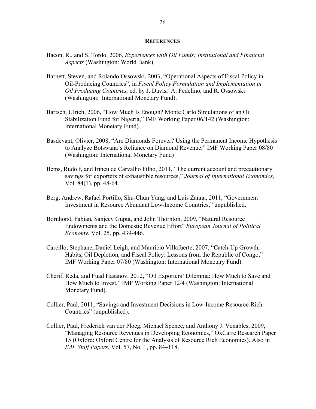#### **REFERENCES**

- Bacon, R., and S. Tordo, 2006, *Experiences with Oil Funds: Institutional and Financial Aspects* (Washington: World Bank).
- Barnett, Steven, and Rolando Ossowski, 2003, "Operational Aspects of Fiscal Policy in Oil-Producing Countries", in *Fiscal Policy Formulation and Implementation in Oil Producing Countries,* ed. by J. Davis, A. Fedelino, and R. Ossowski (Washington: International Monetary Fund).
- Bartsch, Ulrich, 2006, "How Much Is Enough? Monte Carlo Simulations of an Oil Stabilization Fund for Nigeria," IMF Working Paper 06/142 (Washington: International Monetary Fund).
- Basdevant, Olivier, 2008, "Are Diamonds Forever? Using the Permanent Income Hypothesis to Analyze Botswana's Reliance on Diamond Revenue," IMF Working Paper 08/80 (Washington: International Monetary Fund)
- Bems, Rudolf, and Irineu de Carvalho Filho, 2011, "The current account and precautionary savings for exporters of exhaustible resources," *Journal of International Economics*, Vol. 84(1), pp. 48-64.
- Berg, Andrew, Rafael Portillo, Shu-Chun Yang, and Luis Zanna, 2011, "Government Investment in Resource Abundant Low-Income Countries," unpublished.
- Bornhorst, Fabian, Sanjeev Gupta, and John Thornton, 2009, "Natural Resource Endowments and the Domestic Revenue Effort" *European Journal of Political Economy*, Vol. 25, pp. 439-446.
- Carcillo, Stephane, Daniel Leigh, and Mauricio Villafuerte, 2007, "Catch-Up Growth, Habits, Oil Depletion, and Fiscal Policy: Lessons from the Republic of Congo," IMF Working Paper 07/80 (Washington: International Monetary Fund).
- Cherif, Reda, and Fuad Hasanov, 2012, "Oil Exporters' Dilemma: How Much to Save and How Much to Invest," IMF Working Paper 12/4 (Washington: International Monetary Fund).
- Collier, Paul, 2011, "Savings and Investment Decisions in Low-Income Resource-Rich Countries" (unpublished).
- Collier, Paul, Frederick van der Ploeg, Michael Spence, and Anthony J. Venables, 2009, "Managing Resource Revenues in Developing Economies," OxCarre Research Paper 15 (Oxford: Oxford Centre for the Analysis of Resource Rich Economies). Also in *IMF Staff Papers*, Vol. 57, No. 1, pp. 84–118.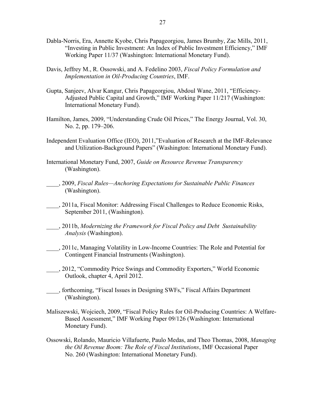- Dabla-Norris, Era, Annette Kyobe, Chris Papageorgiou, James Brumby, Zac Mills, 2011, "Investing in Public Investment: An Index of Public Investment Efficiency," IMF Working Paper 11/37 (Washington: International Monetary Fund).
- Davis, Jeffrey M., R. Ossowski, and A. Fedelino 2003, *Fiscal Policy Formulation and Implementation in Oil-Producing Countries*, IMF.
- Gupta, Sanjeev, Alvar Kangur, Chris Papageorgiou, Abdoul Wane, 2011, "Efficiency-Adjusted Public Capital and Growth," IMF Working Paper 11/217 (Washington: International Monetary Fund).
- Hamilton, James, 2009, "Understanding Crude Oil Prices," The Energy Journal, Vol. 30, No. 2, pp. 179–206.
- Independent Evaluation Office (IEO), 2011,"Evaluation of Research at the IMF-Relevance and Utilization-Background Papers" (Washington: International Monetary Fund).
- International Monetary Fund, 2007, *Guide on Resource Revenue Transparency*  (Washington).
- \_\_\_\_, 2009, *Fiscal Rules—Anchoring Expectations for Sustainable Public Finances* (Washington).
- \_\_\_\_, 2011a, Fiscal Monitor: Addressing Fiscal Challenges to Reduce Economic Risks, September 2011, (Washington).
- \_\_\_\_, 2011b, *Modernizing the Framework for Fiscal Policy and Debt Sustainability Analysis* (Washington).
- \_\_\_\_, 2011c, Managing Volatility in Low-Income Countries: The Role and Potential for Contingent Financial Instruments (Washington).
- \_\_\_\_, 2012, "Commodity Price Swings and Commodity Exporters," World Economic Outlook, chapter 4, April 2012.
- \_\_\_\_, forthcoming, "Fiscal Issues in Designing SWFs," Fiscal Affairs Department (Washington).
- Maliszewski, Wojciech, 2009, "Fiscal Policy Rules for Oil-Producing Countries: A Welfare-Based Assessment," IMF Working Paper 09/126 (Washington: International Monetary Fund).
- Ossowski, Rolando, Mauricio Villafuerte, Paulo Medas, and Theo Thomas, 2008, *Managing the Oil Revenue Boom: The Role of Fiscal Institutions*, IMF Occasional Paper No. 260 (Washington: International Monetary Fund).